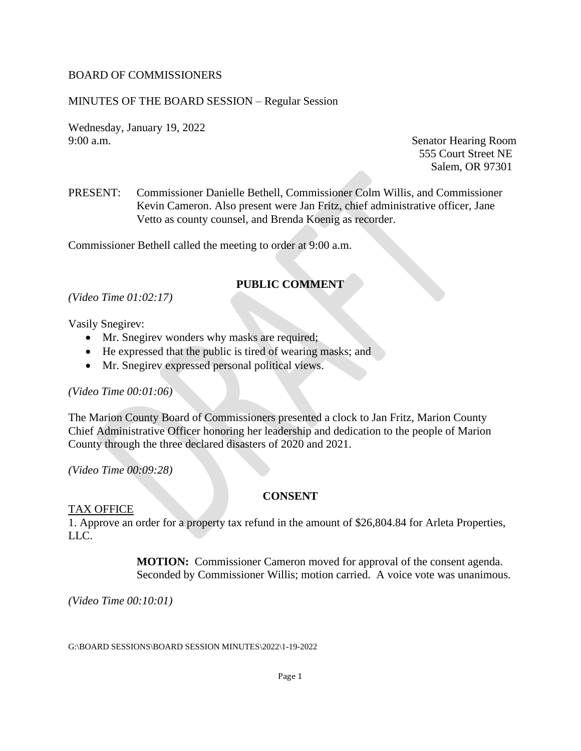#### BOARD OF COMMISSIONERS

## MINUTES OF THE BOARD SESSION – Regular Session

Wednesday, January 19, 2022 9:00 a.m. Senator Hearing Room

555 Court Street NE Salem, OR 97301

PRESENT: Commissioner Danielle Bethell, Commissioner Colm Willis, and Commissioner Kevin Cameron. Also present were Jan Fritz, chief administrative officer, Jane Vetto as county counsel, and Brenda Koenig as recorder.

Commissioner Bethell called the meeting to order at 9:00 a.m.

## **PUBLIC COMMENT**

*(Video Time 01:02:17)*

#### Vasily Snegirev:

- Mr. Snegirev wonders why masks are required;
- He expressed that the public is tired of wearing masks; and
- Mr. Snegirev expressed personal political views.

#### *(Video Time 00:01:06)*

The Marion County Board of Commissioners presented a clock to Jan Fritz, Marion County Chief Administrative Officer honoring her leadership and dedication to the people of Marion County through the three declared disasters of 2020 and 2021.

*(Video Time 00:09:28)*

#### **CONSENT**

#### TAX OFFICE

1. Approve an order for a property tax refund in the amount of \$26,804.84 for Arleta Properties, LLC.

> **MOTION:** Commissioner Cameron moved for approval of the consent agenda. Seconded by Commissioner Willis; motion carried. A voice vote was unanimous.

*(Video Time 00:10:01)*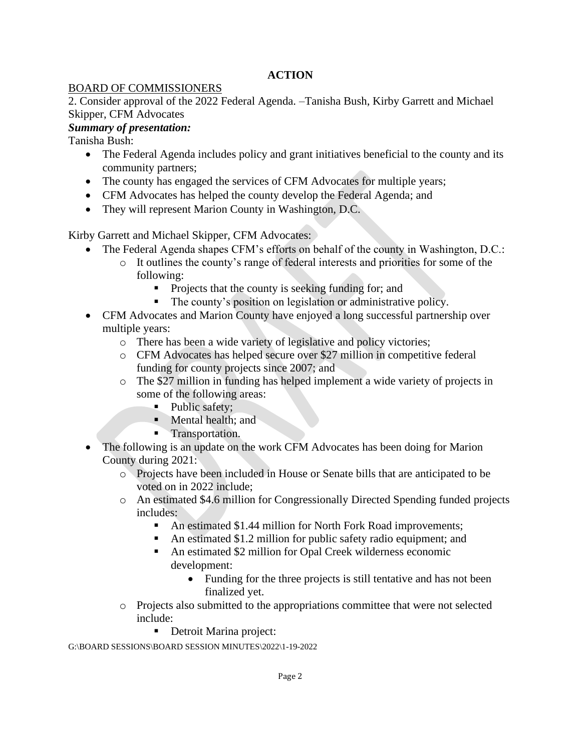# **ACTION**

## BOARD OF COMMISSIONERS

2. Consider approval of the 2022 Federal Agenda. –Tanisha Bush, Kirby Garrett and Michael Skipper, CFM Advocates

# *Summary of presentation:*

Tanisha Bush:

- The Federal Agenda includes policy and grant initiatives beneficial to the county and its community partners;
- The county has engaged the services of CFM Advocates for multiple years;
- CFM Advocates has helped the county develop the Federal Agenda; and
- They will represent Marion County in Washington, D.C.

Kirby Garrett and Michael Skipper, CFM Advocates:

- The Federal Agenda shapes CFM's efforts on behalf of the county in Washington, D.C.:
	- o It outlines the county's range of federal interests and priorities for some of the following:
		- Projects that the county is seeking funding for; and
		- The county's position on legislation or administrative policy.
- CFM Advocates and Marion County have enjoyed a long successful partnership over multiple years:
	- o There has been a wide variety of legislative and policy victories;
	- o CFM Advocates has helped secure over \$27 million in competitive federal funding for county projects since 2007; and
	- o The \$27 million in funding has helped implement a wide variety of projects in some of the following areas:
		- Public safety;
		- Mental health: and
		- **•** Transportation.
- The following is an update on the work CFM Advocates has been doing for Marion County during 2021:
	- o Projects have been included in House or Senate bills that are anticipated to be voted on in 2022 include;
	- o An estimated \$4.6 million for Congressionally Directed Spending funded projects includes:
		- An estimated \$1.44 million for North Fork Road improvements;
		- An estimated \$1.2 million for public safety radio equipment; and
		- An estimated \$2 million for Opal Creek wilderness economic development:
			- Funding for the three projects is still tentative and has not been finalized yet.
	- o Projects also submitted to the appropriations committee that were not selected include:
		- Detroit Marina project: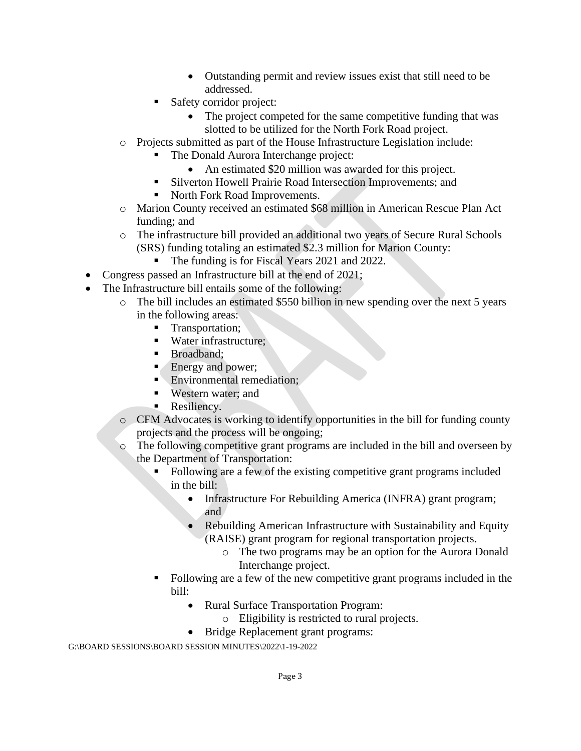- Outstanding permit and review issues exist that still need to be addressed.
- Safety corridor project:
	- The project competed for the same competitive funding that was slotted to be utilized for the North Fork Road project.
- o Projects submitted as part of the House Infrastructure Legislation include:
	- The Donald Aurora Interchange project:
	- An estimated \$20 million was awarded for this project.
	- Silverton Howell Prairie Road Intersection Improvements; and
	- North Fork Road Improvements.
- o Marion County received an estimated \$68 million in American Rescue Plan Act funding; and
- o The infrastructure bill provided an additional two years of Secure Rural Schools (SRS) funding totaling an estimated \$2.3 million for Marion County:
	- The funding is for Fiscal Years 2021 and 2022.
- Congress passed an Infrastructure bill at the end of 2021;
- The Infrastructure bill entails some of the following:
	- o The bill includes an estimated \$550 billion in new spending over the next 5 years in the following areas:
		- Transportation;
		- Water infrastructure;
		- Broadband;
		- Energy and power;
		- **Environmental remediation:**
		- Western water: and
		- **Resiliency.**
	- o CFM Advocates is working to identify opportunities in the bill for funding county projects and the process will be ongoing;
	- o The following competitive grant programs are included in the bill and overseen by the Department of Transportation:
		- Following are a few of the existing competitive grant programs included in the bill:
			- Infrastructure For Rebuilding America (INFRA) grant program; and
			- Rebuilding American Infrastructure with Sustainability and Equity (RAISE) grant program for regional transportation projects.
				- o The two programs may be an option for the Aurora Donald Interchange project.
		- Following are a few of the new competitive grant programs included in the bill:
			- Rural Surface Transportation Program:
				- o Eligibility is restricted to rural projects.
			- Bridge Replacement grant programs: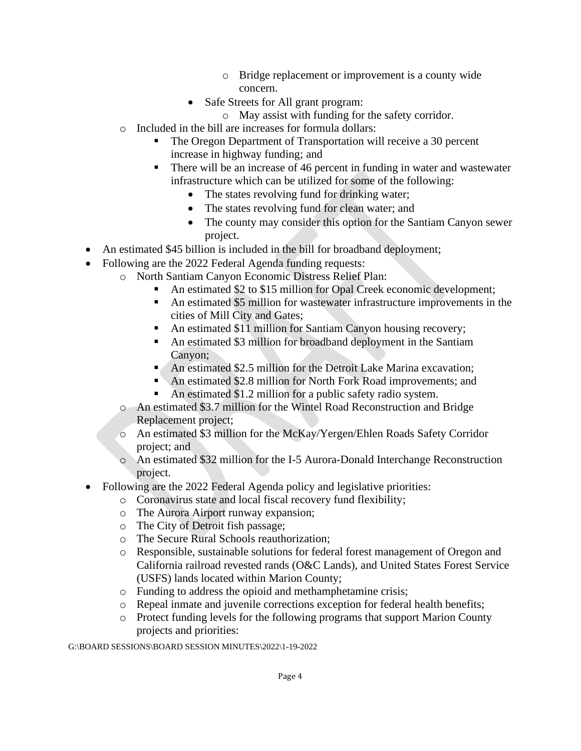- o Bridge replacement or improvement is a county wide concern.
- Safe Streets for All grant program:
	- o May assist with funding for the safety corridor.
- o Included in the bill are increases for formula dollars:
	- The Oregon Department of Transportation will receive a 30 percent increase in highway funding; and
	- There will be an increase of 46 percent in funding in water and wastewater infrastructure which can be utilized for some of the following:
		- The states revolving fund for drinking water;
		- The states revolving fund for clean water; and
		- The county may consider this option for the Santiam Canyon sewer project.
- An estimated \$45 billion is included in the bill for broadband deployment;
- Following are the 2022 Federal Agenda funding requests:
	- o North Santiam Canyon Economic Distress Relief Plan:
		- An estimated \$2 to \$15 million for Opal Creek economic development;
			- An estimated \$5 million for wastewater infrastructure improvements in the cities of Mill City and Gates;
			- An estimated \$11 million for Santiam Canyon housing recovery;
			- An estimated \$3 million for broadband deployment in the Santiam Canyon;
			- An estimated \$2.5 million for the Detroit Lake Marina excavation;
			- An estimated \$2.8 million for North Fork Road improvements; and
			- An estimated  $$1.2$  million for a public safety radio system.
	- o An estimated \$3.7 million for the Wintel Road Reconstruction and Bridge Replacement project;
	- o An estimated \$3 million for the McKay/Yergen/Ehlen Roads Safety Corridor project; and
	- o An estimated \$32 million for the I-5 Aurora-Donald Interchange Reconstruction project.
- Following are the 2022 Federal Agenda policy and legislative priorities:
	- o Coronavirus state and local fiscal recovery fund flexibility;
	- o The Aurora Airport runway expansion;
	- o The City of Detroit fish passage;
	- o The Secure Rural Schools reauthorization;
	- o Responsible, sustainable solutions for federal forest management of Oregon and California railroad revested rands (O&C Lands), and United States Forest Service (USFS) lands located within Marion County;
	- o Funding to address the opioid and methamphetamine crisis;
	- o Repeal inmate and juvenile corrections exception for federal health benefits;
	- o Protect funding levels for the following programs that support Marion County projects and priorities: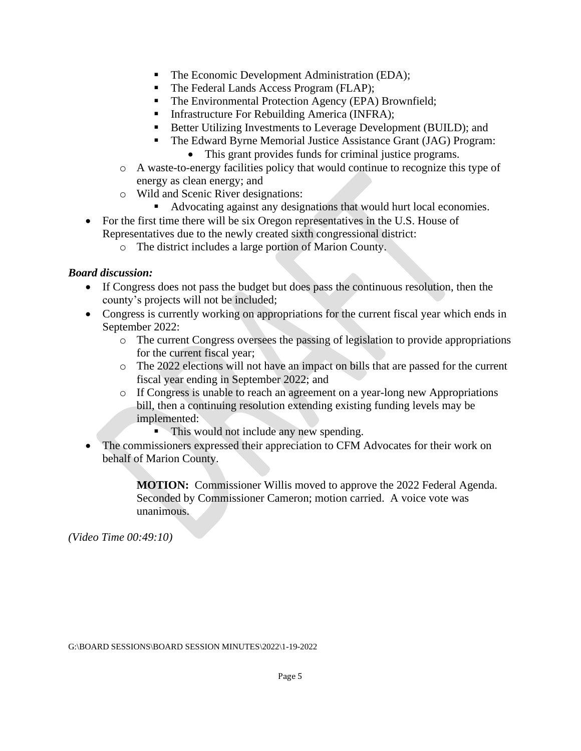- The Economic Development Administration (EDA);
- The Federal Lands Access Program (FLAP);
- The Environmental Protection Agency (EPA) Brownfield;
- **•** Infrastructure For Rebuilding America (INFRA);
- Better Utilizing Investments to Leverage Development (BUILD); and
- The Edward Byrne Memorial Justice Assistance Grant (JAG) Program: • This grant provides funds for criminal justice programs.
- o A waste-to-energy facilities policy that would continue to recognize this type of energy as clean energy; and
- o Wild and Scenic River designations:
	- Advocating against any designations that would hurt local economies.
- For the first time there will be six Oregon representatives in the U.S. House of Representatives due to the newly created sixth congressional district:
	- o The district includes a large portion of Marion County.

## *Board discussion:*

- If Congress does not pass the budget but does pass the continuous resolution, then the county's projects will not be included;
- Congress is currently working on appropriations for the current fiscal year which ends in September 2022:
	- o The current Congress oversees the passing of legislation to provide appropriations for the current fiscal year;
	- o The 2022 elections will not have an impact on bills that are passed for the current fiscal year ending in September 2022; and
	- o If Congress is unable to reach an agreement on a year-long new Appropriations bill, then a continuing resolution extending existing funding levels may be implemented:
		- This would not include any new spending.
- The commissioners expressed their appreciation to CFM Advocates for their work on behalf of Marion County.

**MOTION:** Commissioner Willis moved to approve the 2022 Federal Agenda. Seconded by Commissioner Cameron; motion carried. A voice vote was unanimous.

*(Video Time 00:49:10)*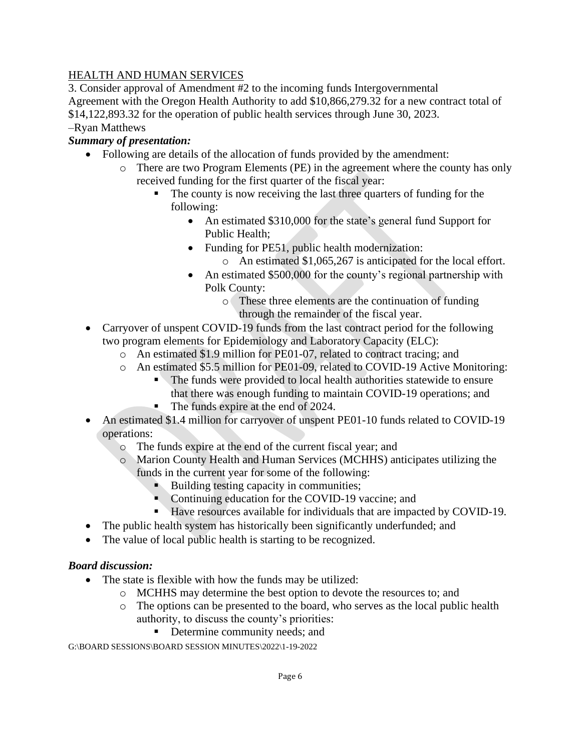# HEALTH AND HUMAN SERVICES

3. Consider approval of Amendment #2 to the incoming funds Intergovernmental Agreement with the Oregon Health Authority to add \$10,866,279.32 for a new contract total of \$14,122,893.32 for the operation of public health services through June 30, 2023. –Ryan Matthews

# *Summary of presentation:*

- Following are details of the allocation of funds provided by the amendment:
	- o There are two Program Elements (PE) in the agreement where the county has only received funding for the first quarter of the fiscal year:
		- The county is now receiving the last three quarters of funding for the following:
			- An estimated \$310,000 for the state's general fund Support for Public Health;
			- Funding for PE51, public health modernization:
				- o An estimated \$1,065,267 is anticipated for the local effort.
			- An estimated \$500,000 for the county's regional partnership with Polk County:
				- o These three elements are the continuation of funding through the remainder of the fiscal year.
- Carryover of unspent COVID-19 funds from the last contract period for the following two program elements for Epidemiology and Laboratory Capacity (ELC):
	- o An estimated \$1.9 million for PE01-07, related to contract tracing; and
	- o An estimated \$5.5 million for PE01-09, related to COVID-19 Active Monitoring:
		- The funds were provided to local health authorities statewide to ensure that there was enough funding to maintain COVID-19 operations; and
		- The funds expire at the end of 2024.
- An estimated \$1.4 million for carryover of unspent PE01-10 funds related to COVID-19 operations:
	- o The funds expire at the end of the current fiscal year; and
	- o Marion County Health and Human Services (MCHHS) anticipates utilizing the funds in the current year for some of the following:
		- Building testing capacity in communities;
		- Continuing education for the COVID-19 vaccine; and
		- Have resources available for individuals that are impacted by COVID-19.
- The public health system has historically been significantly underfunded; and
- The value of local public health is starting to be recognized.

## *Board discussion:*

- The state is flexible with how the funds may be utilized:
	- o MCHHS may determine the best option to devote the resources to; and
	- o The options can be presented to the board, who serves as the local public health authority, to discuss the county's priorities:
		- Determine community needs; and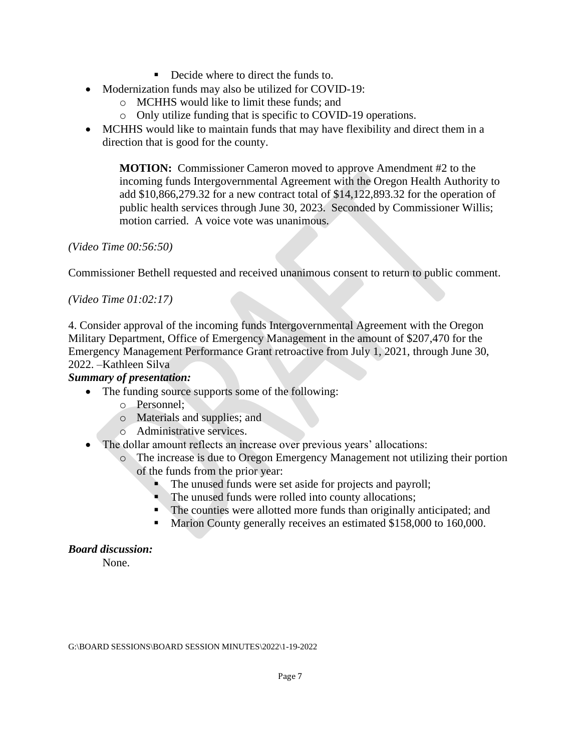- Decide where to direct the funds to.
- Modernization funds may also be utilized for COVID-19:
	- o MCHHS would like to limit these funds; and
	- o Only utilize funding that is specific to COVID-19 operations.
- MCHHS would like to maintain funds that may have flexibility and direct them in a direction that is good for the county.

**MOTION:** Commissioner Cameron moved to approve Amendment #2 to the incoming funds Intergovernmental Agreement with the Oregon Health Authority to add \$10,866,279.32 for a new contract total of \$14,122,893.32 for the operation of public health services through June 30, 2023. Seconded by Commissioner Willis; motion carried. A voice vote was unanimous.

*(Video Time 00:56:50)*

Commissioner Bethell requested and received unanimous consent to return to public comment.

*(Video Time 01:02:17)*

4. Consider approval of the incoming funds Intergovernmental Agreement with the Oregon Military Department, Office of Emergency Management in the amount of \$207,470 for the Emergency Management Performance Grant retroactive from July 1, 2021, through June 30, 2022. –Kathleen Silva

## *Summary of presentation:*

- The funding source supports some of the following:
	- o Personnel;
	- o Materials and supplies; and
	- o Administrative services.
- The dollar amount reflects an increase over previous years' allocations:
	- o The increase is due to Oregon Emergency Management not utilizing their portion of the funds from the prior year:
		- The unused funds were set aside for projects and payroll;
		- The unused funds were rolled into county allocations;
		- The counties were allotted more funds than originally anticipated; and
		- Marion County generally receives an estimated \$158,000 to 160,000.

## *Board discussion:*

None.